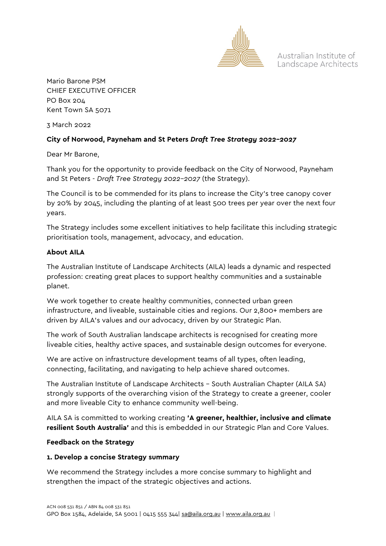

Australian Institute of Landscape Architects

Mario Barone PSM CHIEF EXECUTIVE OFFICER PO Box 204 Kent Town SA 5071

3 March 2022

# **City of Norwood, Payneham and St Peters** *Draft Tree Strategy 2022–2027*

Dear Mr Barone,

Thank you for the opportunity to provide feedback on the City of Norwood, Payneham and St Peters - *Draft Tree Strategy 2022–2027* (the Strategy).

The Council is to be commended for its plans to increase the City's tree canopy cover by 20% by 2045, including the planting of at least 500 trees per year over the next four years.

The Strategy includes some excellent initiatives to help facilitate this including strategic prioritisation tools, management, advocacy, and education.

## **About AILA**

The Australian Institute of Landscape Architects (AILA) leads a dynamic and respected profession: creating great places to support healthy communities and a sustainable planet.

We work together to create healthy communities, connected urban green infrastructure, and liveable, sustainable cities and regions. Our 2,800+ members are driven by AILA's values and our advocacy, driven by our Strategic Plan.

The work of South Australian landscape architects is recognised for creating more liveable cities, healthy active spaces, and sustainable design outcomes for everyone.

We are active on infrastructure development teams of all types, often leading, connecting, facilitating, and navigating to help achieve shared outcomes.

The Australian Institute of Landscape Architects – South Australian Chapter (AILA SA) strongly supports of the overarching vision of the Strategy to create a greener, cooler and more liveable City to enhance community well-being.

AILA SA is committed to working creating **'A greener, healthier, inclusive and climate resilient South Australia'** and this is embedded in our Strategic Plan and Core Values.

## **Feedback on the Strategy**

## **1. Develop a concise Strategy summary**

We recommend the Strategy includes a more concise summary to highlight and strengthen the impact of the strategic objectives and actions.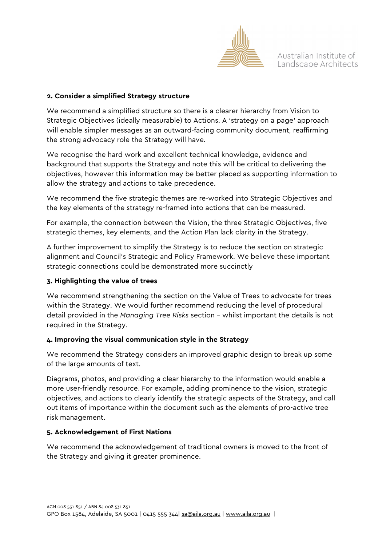

## **2. Consider a simplified Strategy structure**

We recommend a simplified structure so there is a clearer hierarchy from Vision to Strategic Objectives (ideally measurable) to Actions. A 'strategy on a page' approach will enable simpler messages as an outward-facing community document, reaffirming the strong advocacy role the Strategy will have.

We recognise the hard work and excellent technical knowledge, evidence and background that supports the Strategy and note this will be critical to delivering the objectives, however this information may be better placed as supporting information to allow the strategy and actions to take precedence.

We recommend the five strategic themes are re-worked into Strategic Objectives and the key elements of the strategy re-framed into actions that can be measured.

For example, the connection between the Vision, the three Strategic Objectives, five strategic themes, key elements, and the Action Plan lack clarity in the Strategy.

A further improvement to simplify the Strategy is to reduce the section on strategic alignment and Council's Strategic and Policy Framework. We believe these important strategic connections could be demonstrated more succinctly

## **3. Highlighting the value of trees**

We recommend strengthening the section on the Value of Trees to advocate for trees within the Strategy. We would further recommend reducing the level of procedural detail provided in the *Managing Tree Risks* section – whilst important the details is not required in the Strategy.

## **4. Improving the visual communication style in the Strategy**

We recommend the Strategy considers an improved graphic design to break up some of the large amounts of text.

Diagrams, photos, and providing a clear hierarchy to the information would enable a more user-friendly resource. For example, adding prominence to the vision, strategic objectives, and actions to clearly identify the strategic aspects of the Strategy, and call out items of importance within the document such as the elements of pro-active tree risk management.

## **5. Acknowledgement of First Nations**

We recommend the acknowledgement of traditional owners is moved to the front of the Strategy and giving it greater prominence.